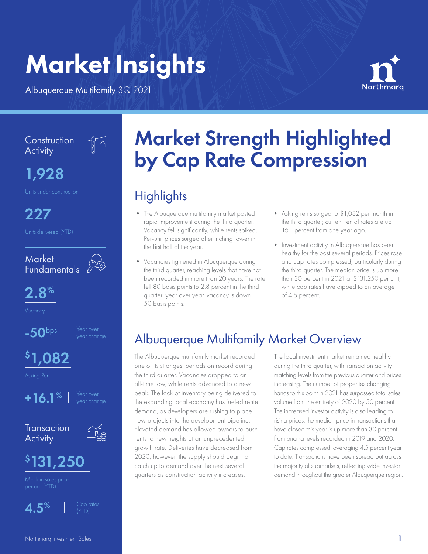# Market Insights

Albuquerque Multifamily 3Q 2021

 $\frac{1}{8}$ 



**Construction Activity** 



1,928

227



2.8%

 $-50$ <sup>bps</sup>  $\parallel$  <sup>Year over</sup> year change

# \$ 1,082

Asking Rent



**Transaction Activity** 



# \$ 131,250



(YTD)

# Market Strength Highlighted by Cap Rate Compression

# **Highlights**

- The Albuquerque multifamily market posted rapid improvement during the third quarter. Vacancy fell significantly, while rents spiked. Per-unit prices surged after inching lower in the first half of the year.
- Vacancies tightened in Albuquerque during the third quarter, reaching levels that have not been recorded in more than 20 years. The rate fell 80 basis points to 2.8 percent in the third quarter; year over year, vacancy is down 50 basis points.
- Asking rents surged to \$1,082 per month in the third quarter; current rental rates are up 16.1 percent from one year ago.
- Investment activity in Albuquerque has been healthy for the past several periods. Prices rose and cap rates compressed, particularly during the third quarter. The median price is up more than 30 percent in 2021 at \$131,250 per unit, while cap rates have dipped to an average of 4.5 percent.

## Albuquerque Multifamily Market Overview

The Albuquerque multifamily market recorded one of its strongest periods on record during the third quarter. Vacancies dropped to an all-time low, while rents advanced to a new peak. The lack of inventory being delivered to the expanding local economy has fueled renter demand, as developers are rushing to place new projects into the development pipeline. Elevated demand has allowed owners to push rents to new heights at an unprecedented growth rate. Deliveries have decreased from 2020, however, the supply should begin to catch up to demand over the next several quarters as construction activity increases.

The local investment market remained healthy during the third quarter, with transaction activity matching levels from the previous quarter and prices increasing. The number of properties changing hands to this point in 2021 has surpassed total sales volume from the entirety of 2020 by 50 percent. The increased investor activity is also leading to rising prices; the median price in transactions that have closed this year is up more than 30 percent from pricing levels recorded in 2019 and 2020. Cap rates compressed, averaging 4.5 percent year to date. Transactions have been spread out across the majority of submarkets, reflecting wide investor demand throughout the greater Albuquerque region.<br>Median sales price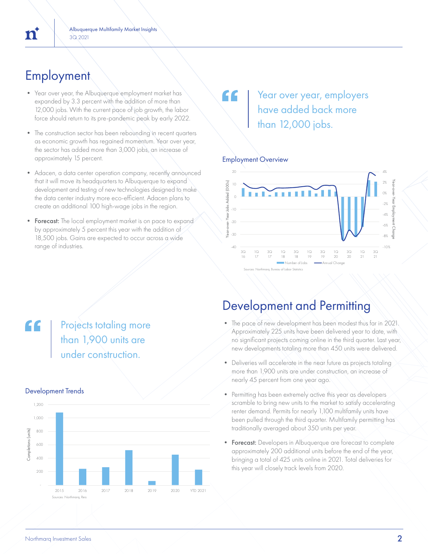## **Employment**

- Year over year, the Albuquerque employment market has expanded by 3.3 percent with the addition of more than 12,000 jobs. With the current pace of job growth, the labor force should return to its pre-pandemic peak by early 2022.
- The construction sector has been rebounding in recent quarters as economic growth has regained momentum. Year over year, the sector has added more than 3,000 jobs, an increase of approximately 15 percent.
- Adacen, a data center operation company, recently announced that it will move its headquarters to Albuquerque to expand development and testing of new technologies designed to make the data center industry more eco-efficient. Adacen plans to create an additional 100 high-wage jobs in the region.
- Forecast: The local employment market is on pace to expand by approximately 5 percent this year with the addition of 18,500 jobs. Gains are expected to occur across a wide range of industries.

### Year over year, employers have added back more than 12,000 jobs.

#### Employment Overview

 $\epsilon$ 



### Development and Permitting

- The pace of new development has been modest thus far in 2021. Approximately 225 units have been delivered year to date, with no significant projects coming online in the third quarter. Last year, new developments totaling more than 450 units were delivered.
- Deliveries will accelerate in the near future as projects totaling more than 1,900 units are under construction, an increase of nearly 45 percent from one year ago.
- Permitting has been extremely active this year as developers scramble to bring new units to the market to satisfy accelerating renter demand. Permits for nearly 1,100 multifamily units have been pulled through the third quarter. Multifamily permitting has traditionally averaged about 350 units per year.
- Forecast: Developers in Albuquerque are forecast to complete approximately 200 additional units before the end of the year, bringing a total of 425 units online in 2021. Total deliveries for this year will closely track levels from 2020.

### "

**Projects totaling more** than 1,900 units are under construction.

#### Development Trends

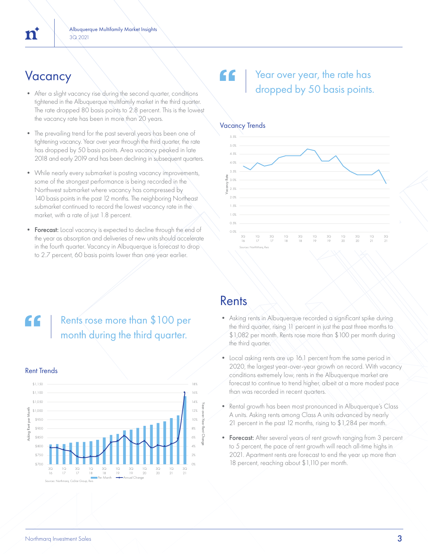- After a slight vacancy rise during the second quarter, conditions tightened in the Albuquerque multifamily market in the third quarter. The rate dropped 80 basis points to 2.8 percent. This is the lowest the vacancy rate has been in more than 20 years.
- The prevailing trend for the past several years has been one of tightening vacancy. Year over year through the third quarter, the rate has dropped by 50 basis points. Area vacancy peaked in late 2018 and early 2019 and has been declining in subsequent quarters.
- While nearly every submarket is posting vacancy improvements, some of the strongest performance is being recorded in the Northwest submarket where vacancy has compressed by 140 basis points in the past 12 months. The neighboring Northeast submarket continued to record the lowest vacancy rate in the market, with a rate of just 1.8 percent.
- Forecast: Local vacancy is expected to decline through the end of the year as absorption and deliveries of new units should accelerate in the fourth quarter. Vacancy in Albuquerque is forecast to drop to 2.7 percent, 60 basis points lower than one year earlier.

### $V$ acancy  $\setminus$   $\setminus$   $\setminus$   $\setminus$   $\setminus$   $\setminus$   $\setminus$   $\setminus$   $\setminus$   $\setminus$   $\setminus$   $\setminus$   $\setminus$   $\setminus$   $\setminus$   $\setminus$   $\setminus$   $\setminus$   $\setminus$   $\setminus$   $\setminus$   $\setminus$   $\setminus$   $\setminus$   $\setminus$   $\setminus$   $\setminus$   $\setminus$   $\setminus$   $\setminus$   $\setminus$   $\setminus$   $\setminus$   $\setminus$   $\setminus$  dropped by 50 basis points.



Rents rose more than \$100 per month during the third quarter.



## Rents

- Asking rents in Albuquerque recorded a significant spike during the third quarter, rising 11 percent in just the past three months to \$1,082 per month. Rents rose more than \$100 per month during the third quarter.
- Local asking rents are up 16.1 percent from the same period in 2020, the largest year-over-year growth on record. With vacancy conditions extremely low, rents in the Albuquerque market are forecast to continue to trend higher, albeit at a more modest pace than was recorded in recent quarters.
- Rental growth has been most pronounced in Albuquerque's Class A units. Asking rents among Class A units advanced by nearly 21 percent in the past 12 months, rising to \$1,284 per month.
- Forecast: After several years of rent growth ranging from 3 percent to 5 percent, the pace of rent growth will reach all-time highs in 2021. Apartment rents are forecast to end the year up more than 18 percent, reaching about \$1,110 per month.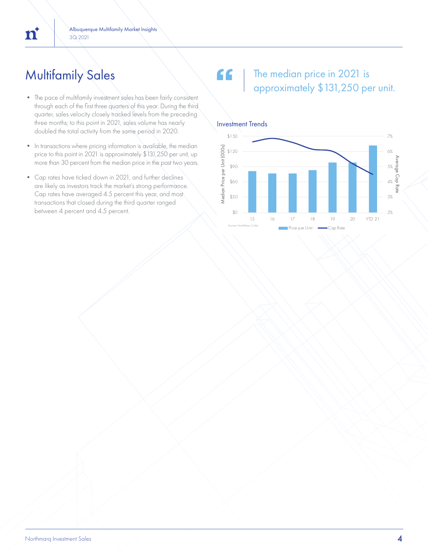## Multifamily Sales

- The pace of multifamily investment sales has been fairly consistent through each of the first three quarters of this year. During the third quarter, sales velocity closely tracked levels from the preceding three months; to this point in 2021, sales volume has nearly doubled the total activity from the same period in 2020.
- In transactions where pricing information is available, the median price to this point in 2021 is approximately \$131,250 per unit, up more than 30 percent from the median price in the past two years.
- Cap rates have ticked down in 2021, and further declines are likely as investors track the market's strong performance. Cap rates have averaged 4.5 percent this year, and most transactions that closed during the third quarter ranged

#### " The median price in 2021 is approximately \$131,250 per unit.

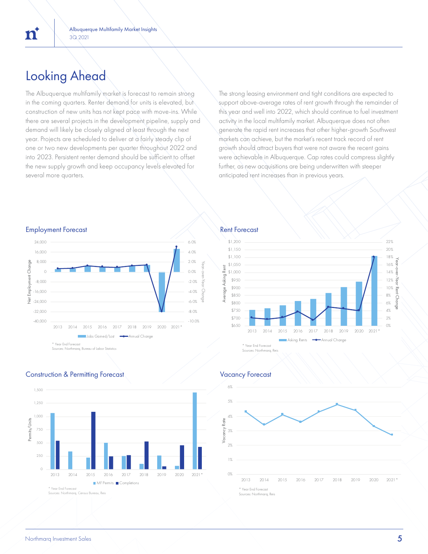# Looking Ahead

 $\mathbf{n}^*$ 

The Albuquerque multifamily market is forecast to remain strong in the coming quarters. Renter demand for units is elevated, but construction of new units has not kept pace with move-ins. While there are several projects in the development pipeline, supply and demand will likely be closely aligned at least through the next year. Projects are scheduled to deliver at a fairly steady clip of one or two new developments per quarter throughout 2022 and into 2023. Persistent renter demand should be sufficient to offset the new supply growth and keep occupancy levels elevated for several more quarters.

The strong leasing environment and tight conditions are expected to support above-average rates of rent growth through the remainder of this year and well into 2022, which should continue to fuel investment activity in the local multifamily market. Albuquerque does not often generate the rapid rent increases that other higher-growth Southwest markets can achieve, but the market's recent track record of rent growth should attract buyers that were not aware the recent gains were achievable in Albuquerque. Cap rates could compress slightly further, as new acquisitions are being underwritten with steeper anticipated rent increases than in previous years.

#### Employment Forecast **Rent Forecast** Rent Forecast







**Construction & Permitting Forecast Construction & Permitting Forecast Vacancy Forecast**